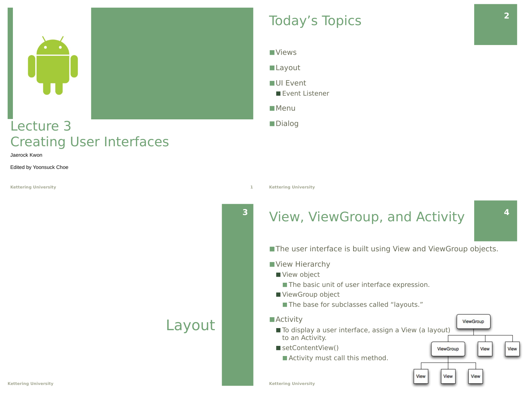

### Lecture 3 Creating User Interfaces

Jaerock Kwon

Edited by Yoonsuck Choe

**Kettering University 1**

#### ■Views

■Layout

■UI Event

■ Event Listener

■Menu

■Dialog

**Kettering University**

### **<sup>3</sup>** View, ViewGroup, and Activity

■ The user interface is built using View and ViewGroup objects.

- View Hierarchy
	- View object
		- The basic unit of user interface expression.
	- ViewGroup object
		- The base for subclasses called "layouts."

#### ■ Activity

- To display a user interface, assign a View (a layout) to an Activity.
- setContentView()
	- Activity must call this method.

**4**

ViewGroup

View

View

View

ViewGroup

View

View

**Kettering University**

**Kettering University**

Layout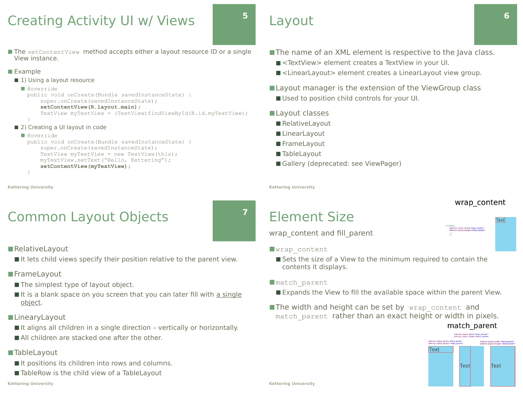### Creating Activity UI w/ Views

■ The setContentView method accepts either a layout resource ID or a single View instance.

#### ■ Example

- 1) Using a layout resource
- @override

public void onCreate(Bundle savedInstanceState) { super.onCreate(savedInstanceState);

- **setContentView(R.layout.main);**
- TextView myTextView = (TextView)findViewById(R.id.myTextView); }
- 2) Creating a UI layout in code

#### ■ @override

public void onCreate(Bundle savedInstanceState) { super.onCreate(savedInstanceState); TextView myTextView = new TextView(this); myTextView.setText("Hello, Kettering"); **setContentView(myTextView);** }

```
Kettering University
```
# Common Layout Objects

■RelativeLayout

■ It lets child views specify their position relative to the parent view.

### ■FrameLayout

- The simplest type of layout object.
- It is a blank space on you screen that you can later fill with a single object.
- ■LinearyLayout
	- It aligns all children in a single direction vertically or horizontally.
	- All children are stacked one after the other.

#### ■TableLayout

- It positions its children into rows and columns.
- TableRow is the child view of a TableLayout

#### **Kettering University**

Layout

**5**

**7**

- The name of an XML element is respective to the Java class.
	- <TextView> element creates a TextView in your UI.
	- <LinearLayout> element creates a LinearLayout view group.

### ■ Layout manager is the extension of the ViewGroup class

- Used to position child controls for your UI.
- Lavout classes
	- RelativeLayout
	- LinearLayout
	- FrameLayout
	- TableLayout
	- Gallery (deprecated: see ViewPager)

**Kettering University**

# Element Size

wrap\_content and fill\_parent

#### ■wrap\_content

■ Sets the size of a View to the minimum required to contain the contents it displays.

#### ■match\_parent

- Expands the View to fill the available space within the parent View.
- ■The width and height can be set by wrap\_content and match parent rather than an exact height or width in pixels.



wrap content

ayout\_width="<mark>wrap\_content"</mark><br>ayout\_height=*"wrap\_content* 

**Text**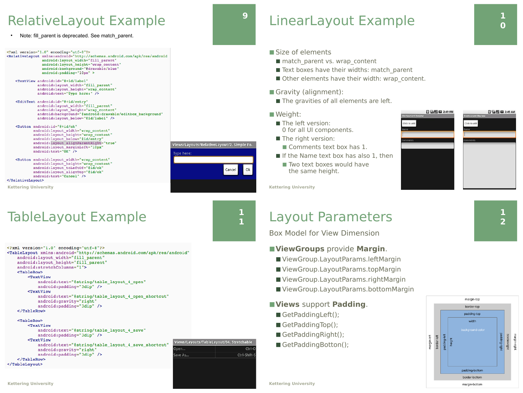### RelativeLayout Example **9**

Note: fill\_parent is deprecated. See match\_parent.

<?xml version="1.0" encoding="utf-8"?> <RelativeLayout xmlns:android="http://schemas.android.com/apk/res/android

- android: layout width="fill parent" android: layout\_height="wrap\_content" android:background="@drawable/blue"  $android:  $padding="10px" >$$
- <TextView android:id="@+id/label" android: layout width="fill\_parent" android: layout height="wrap content" android:text="Type here:" />
- <BditText android:id="@+id/entry"  $and \verb|roid: layout\_width="fill\_parent"$ android: layout height="wrap content" android:background="@android:drawable/editbox background" android: layout below="@id/label" />
- <Button android:id="@+id/ok" android: layout\_width="wrap\_content" android: layout\_height="wrap\_content" android: layout below="@id/entry' android: layout\_alignParentRight="true" android: layout marginLeft="10px"  $android: text="OK"$  />
- <Button android: layout width="wrap content" android: layout\_height="wrap\_content" android: layout\_toLeftOf="@id/ok" android: layout alignTop="@id/ok" android:text="Cancel" />  $\epsilon$ /RelativeLavout>

**Kettering University**

### TableLayout Example **<sup>1</sup>**

<?xml version="1.0" encoding="utf-8"?> <TableLayout xmlns: android="http://schemas.android.com/apk/res/android" android: layout\_width="fill\_parent" android: layout\_height="fill\_parent" android:stretchColumns="1"> <TableRow>  $TextView$ </u> android:text="@string/table layout 4 open" android:padding="3dip" /> <TextView android:text="@string/table\_layout\_4\_open\_shortcut" android:gravity="right" android: padding="3dip" /> </TableRow>

#### $$Tab$ leRow$

```
<TextView
           android:text="@string/table_layout_4_save"
           android:padding="3dip" />
        <TextView
            android:text="@string/table_layout_4_save_shortcut"
            android:gravity="right"
            android:padding="3dip" />
    </TableRow>
</TableLayout>
```


Views/Layouts/RelativeLayout/2. Simple Fo..

Cancel

vpe here

**1**

Ok



- Size of elements
	- match\_parent vs. wrap\_content
	- Text boxes have their widths: match\_parent
	- Other elements have their width: wrap\_content.
- Gravity (alignment):
	- The gravities of all elements are left.

#### ■ Weight:

- The left version: 0 for all UI components.
- The right version:
- Comments text box has 1.
- $\blacksquare$  If the Name text box has also 1, then
	- Two text boxes would have the same height.



**Kettering University**

### Layout Parameters

Box Model for View Dimension

#### ◼**ViewGroups** provide **Margin**.

- ViewGroup.LayoutParams.leftMargin
- ViewGroup.LayoutParams.topMargin
- ViewGroup.LayoutParams.rightMargin
- ViewGroup.LayoutParams.bottomMargin

#### ◼**Views** support **Padding**.

- GetPaddingLeft();
- GetPaddingTop();
- GetPaddingRight();
- GetPaddingBotton();

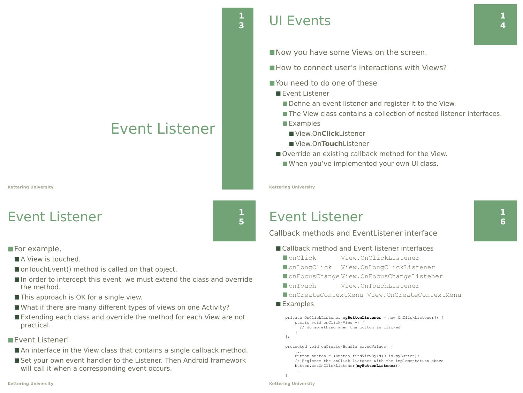# Event Listener

**Kettering University**

# Event Listener

■For example,

- A View is touched.
- onTouchEvent() method is called on that object.
- In order to intercept this event, we must extend the class and override the method.
- This approach is OK for a single view.
- What if there are many different types of views on one Activity?
- Extending each class and override the method for each View are not practical.

### ■Event Listener!

- An interface in the View class that contains a single callback method.
- Set your own event handler to the Listener. Then Android framework will call it when a corresponding event occurs.

**1**

**1 5** ■ Now you have some Views on the screen.

■ How to connect user's interactions with Views?

■ You need to do one of these

■ Event Listener

- Define an event listener and register it to the View.
- The View class contains a collection of nested listener interfaces.
- Examples
	- View.On**Click**Listener
	- View.On**Touch**Listener
- Override an existing callback method for the View.
	- When you've implemented your own UI class.

**Kettering University**

### Event Listener

Callback methods and EventListener interface

- Callback method and Event listener interfaces
	- onClick View.OnClickListener
	- onLongClick View.OnLongClickListener
	- onFocusChange View.OnFocusChangeListener
	- ◼ onTouch View.OnTouchListener
	- ◼ onCreateContextMenu View.OnCreateContextMenu
- Examples

```
private OnClickListener myButtonListener = new OnClickListener() {
     public void onClick(View v) {
       // do something when the button is clicked
\rightarrow \rightarrow};
protected void onCreate(Bundle savedValues) {
 ...
    Button button = (Button)findViewById(R.id.myButton);
     // Register the onClick listener with the implementation above
     button.setOnClickListener(myButtonListener);
```
**1 6**

**1 4**

...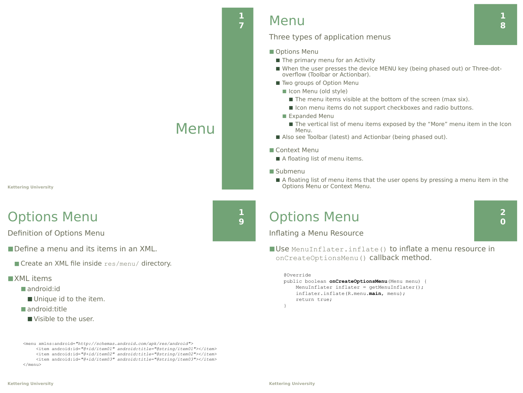#### **Kettering University**

### Options Menu

Definition of Options Menu

■ Define a menu and its items in an XML.

■ Create an XML file inside res/menu/ directory.

#### ■XML items

- android:id
	- Unique id to the item.
- android:title
	- Visible to the user

<menu xmlns:android=*"http://schemas.android.com/apk/res/android">* <item android:id=*"@+id/item01" android:title="@string/item01"></item>* <item android:id=*"@+id/item02" android:title="@string/item02"></item>* <item android:id=*"@+id/item03" android:title="@string/item03"></item>*  $\langle$ /menu>

### **<sup>7</sup>** Menu

**1**

### Three types of application menus

- Options Menu
	- The primary menu for an Activity
	- When the user presses the device MENU key (being phased out) or Three-dotoverflow (Toolbar or Actionbar).
	- Two groups of Option Menu
		- Icon Menu (old style)
			- The menu items visible at the bottom of the screen (max six).
			- Icon menu items do not support checkboxes and radio buttons.
		- Expanded Menu
			- The vertical list of menu items exposed by the "More" menu item in the Icon Menu.
	- Also see Toolbar (latest) and Actionbar (being phased out).
- Context Menu
	- A floating list of menu items.
- Submenu
	- A floating list of menu items that the user opens by pressing a menu item in the Options Menu or Context Menu.

### Options Menu

Inflating a Menu Resource

■ Use MenuInflater.inflate() to inflate a menu resource in onCreateOptionsMenu() callback method.

```
@Override
public boolean onCreateOptionsMenu(Menu menu) {
    MenuInflater inflater = getMenuInflater();
    inflater.inflate(R.menu.main, menu);
    return true;
}
```
**2 0**



Menu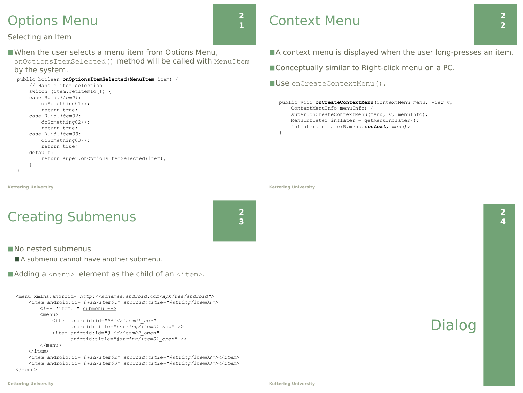### Options Menu

#### Selecting an Item

■ When the user selects a menu item from Options Menu, onOptionsItemSelected() method will be called with MenuItem by the system.

```
public boolean onOptionsItemSelected(MenuItem item) {
     // Handle item selection
     switch (item.getItemId()) {
     case R.id.item01:
         doSomething01();
         return true;
     case R.id.item02:
         doSomething02();
         return true;
     case R.id.item03:
         doSomething03();
         return true;
     default:
         return super.onOptionsItemSelected(item);
 }
}
```
# Context Menu

■A context menu is displayed when the user long-presses an item.

■ Conceptually similar to Right-click menu on a PC.

■ Use onCreateContextMenu().

public void **onCreateContextMenu**(ContextMenu menu, View v, ContextMenuInfo menuInfo) { super.onCreateContextMenu(menu, v, menuInfo); MenuInflater inflater = getMenuInflater(); inflater.inflate(R.menu.*context, menu);* }

**Kettering University**

# Creating Submenus



**2 1**

■ No nested submenus

**Kettering University**

■ A submenu cannot have another submenu.

 $\blacksquare$  Adding a <menu> element as the child of an <item>.

```
<menu xmlns:android="http://schemas.android.com/apk/res/android">
    <item android:id="@+id/item01" android:title="@string/item01">
        <!-- "item01" submenu -->
         <menu>
             <item android:id="@+id/item01_new"
                   android:title="@string/item01_new" />
             <item android:id="@+id/item02_open"
                   android:title="@string/item01_open" />
         </menu>
    \langleitem\rangle<item android:id="@+id/item02" android:title="@string/item02"></item>
    <item android:id="@+id/item03" android:title="@string/item03"></item>
</menu>
```
### Dialog

**2**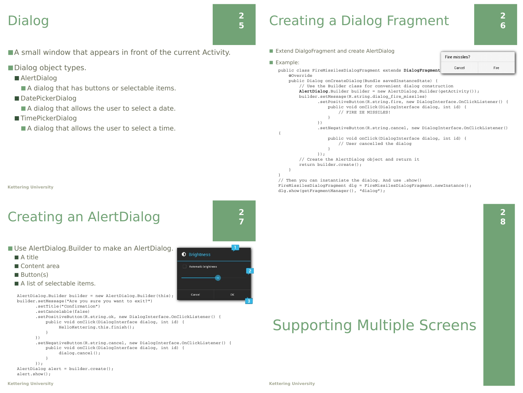### Dialog

### **2 5**

- ■A small window that appears in front of the current Activity.
- ■Dialog object types.
	- AlertDialog
		- A dialog that has buttons or selectable items.
	- DatePickerDialog
		- A dialog that allows the user to select a date.
	- TimePickerDialog
		- A dialog that allows the user to select a time.

**Kettering University**

# Creating an AlertDialog

- Use AlertDialog.Builder to make an AlertDialog.
	- A title
	- Content area

})

- Button(s)
- A list of selectable items.

AlertDialog.Builder builder = new AlertDialog.Builder(this); builder.setMessage("Are you sure you want to exit?")

```
       .setTitle("Confirmation")
       .setCancelable(false)
```

```
       .setPositiveButton(R.string.ok, new DialogInterface.OnClickListener() {
                       public void onClick(DialogInterface dialog, int id) {
                                  HelloKettering.this.finish();
           }
               .setNegativeButton(R.string.cancel, new DialogInterface.OnClickListener() {
                       public void onClick(DialogInterface dialog, int id) {
                  dialog.cancel();
```

```
           }
               });
AlertDialog alert = builder.create();
alert.show();
```


**2 7**

## Creating a Dialog Fragment



**2 8**

■ Extend DialgoFragment and create AlertDialog Fire missles? ■ Example: Cancel Fire public class FireMissilesDialogFragment extends **DialogFragment** { @Override public Dialog onCreateDialog(Bundle savedInstanceState) { // Use the Builder class for convenient dialog construction **AlertDialog**.Builder builder = new AlertDialog.Builder(getActivity()); builder.setMessage(R.string.dialog\_fire\_missiles) .setPositiveButton(R.string.fire, new DialogInterface.OnClickListener() { public void onClick(DialogInterface dialog, int id) { // FIRE ZE MISSILES! } }) .setNegativeButton(R.string.cancel, new DialogInterface.OnClickListener() { public void onClick(DialogInterface dialog, int id) { // User cancelled the dialog } }); // Create the AlertDialog object and return it return builder.create(); } } // Then you can instantiate the dialog. And use .show()

FireMissilesDialogFragment dlg = FireMissilesDialogFragment.newInstance(); dlg.show(getFragmentManager(), "dialog");

# Supporting Multiple Screens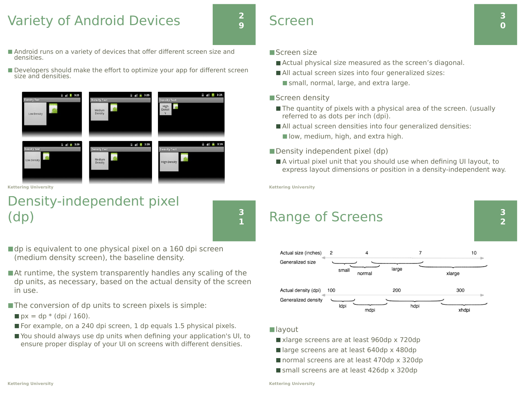### Variety of Android Devices

### **2 9**

- Android runs on a variety of devices that offer different screen size and densities.
- Developers should make the effort to optimize your app for different screen size and densities.



**Kettering University**

### Density-independent pixel (dp)



- $\blacksquare$ dp is equivalent to one physical pixel on a 160 dpi screen (medium density screen), the baseline density.
- At runtime, the system transparently handles any scaling of the dp units, as necessary, based on the actual density of the screen in use.
- ■The conversion of dp units to screen pixels is simple:
	- $\blacksquare$  px = dp \* (dpi / 160).
- $\blacksquare$  For example, on a 240 dpi screen, 1 dp equals 1.5 physical pixels.
- You should always use dp units when defining your application's UI, to ensure proper display of your UI on screens with different densities.

### ■Screen size

Screen

- Actual physical size measured as the screen's diagonal.
- All actual screen sizes into four generalized sizes:
	- small, normal, large, and extra large.
- ■Screen density
	- The quantity of pixels with a physical area of the screen. (usually referred to as dots per inch (dpi).
	- All actual screen densities into four generalized densities:
		- low, medium, high, and extra high.
- $\blacksquare$  Density independent pixel (dp)
	- A virtual pixel unit that you should use when defining UI layout, to express layout dimensions or position in a density-independent way.

**Kettering University**

### Range of Screens



#### ■layout

- xlarge screens are at least 960dp x 720dp
- large screens are at least 640dp x 480dp
- normal screens are at least 470dp x 320dp
- small screens are at least 426dp x 320dp

**3 2**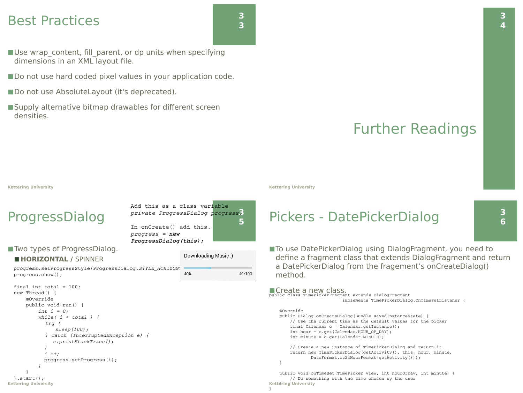### Best Practices

- **3 3**
- Use wrap content, fill parent, or dp units when specifying dimensions in an XML layout file.
- Do not use hard coded pixel values in your application code.
- Do not use AbsoluteLayout (it's deprecated).
- ■Supply alternative bitmap drawables for different screen densities.

# Further Readings

#### **Kettering University**

### ProgressDialog

Add this as a class variable **3** *private ProgressDialog progress;* **5** In onCreate() add this. *progress = new ProgressDialog(this);* Downloading Music:)

#### ■ Two types of ProgressDialog.

#### ◼ **HORIZONTAL /** SPINNER

progress.setProgressStyle(ProgressDialog.*STYLE\_HORIZONT* 40%); progress.show();

```
Kettering University
  final int total = 100;
  new Thread() {
           @Override
           public void run() {
            int f = 0;
                    while( i < total ) {
                     try {
                        sleep(100);
                     } catch (InterruptedException e) {
                  e.printStackTrace();
            }
                        i ++;
                         progress.setProgress(i);
          }
      }
  }.start();
```
**Kettering University**

### Pickers - DatePickerDialog

■ To use DatePickerDialog using DialogFragment, you need to define a fragment class that extends DialogFragment and return a DatePickerDialog from the fragement's onCreateDialog() method.

#### ■Create a new class.

public class TimePickerFragment extends DialogFragment implements TimePickerDialog.OnTimeSetListener {

#### @Override

}

}

40/100

 public Dialog onCreateDialog(Bundle savedInstanceState) { // Use the current time as the default values for the picker final Calendar c = Calendar.getInstance(); int hour = c.get(Calendar.HOUR\_OF\_DAY); int minute = c.get(Calendar.MINUTE);

 // Create a new instance of TimePickerDialog and return it return new TimePickerDialog(getActivity(), this, hour, minute, DateFormat.is24HourFormat(getActivity()));

**Kettering University** } public void onTimeSet(TimePicker view, int hourOfDay, int minute) { // Do something with the time chosen by the user

**3 6**